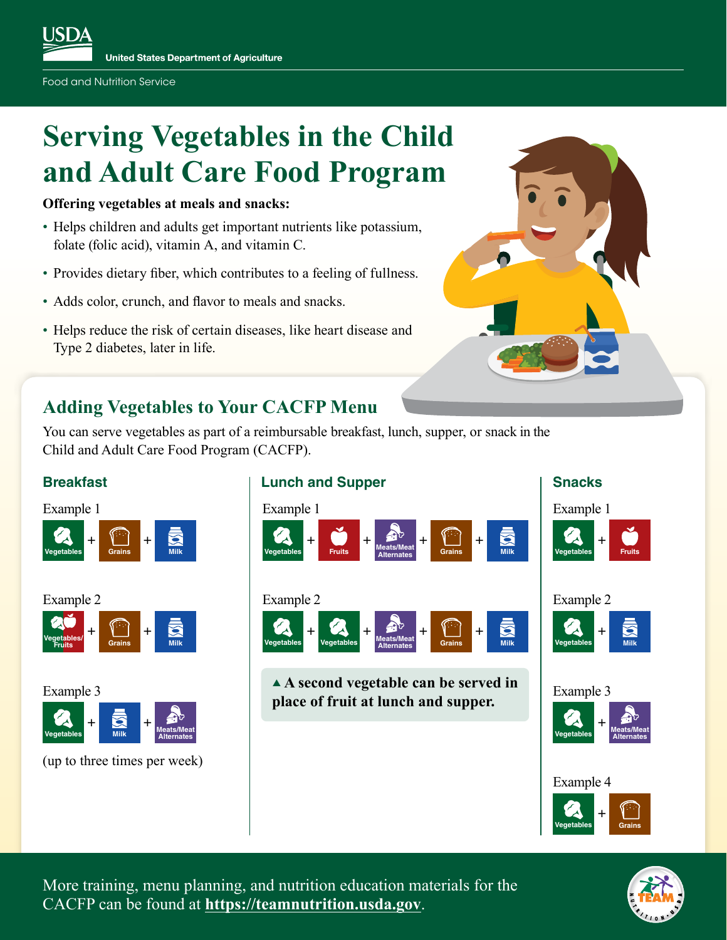# **Serving Vegetables in the Child and Adult Care Food Program**

#### **Offering vegetables at meals and snacks:**

- Helps children and adults get important nutrients like potassium, folate (folic acid), vitamin A, and vitamin C.
- Provides dietary fiber, which contributes to a feeling of fullness.
- Adds color, crunch, and flavor to meals and snacks.
- Helps reduce the risk of certain diseases, like heart disease and Type 2 diabetes, later in life.

#### **Adding Vegetables to Your CACFP Menu**

You can serve vegetables as part of a reimbursable breakfast, lunch, supper, or snack in the Child and Adult Care Food Program (CACFP).



More training, menu planning, and nutrition education materials for the CACFP can be found at **[https://teamnutrition.usda.gov](https://www.fns.usda.gov/tn)**.

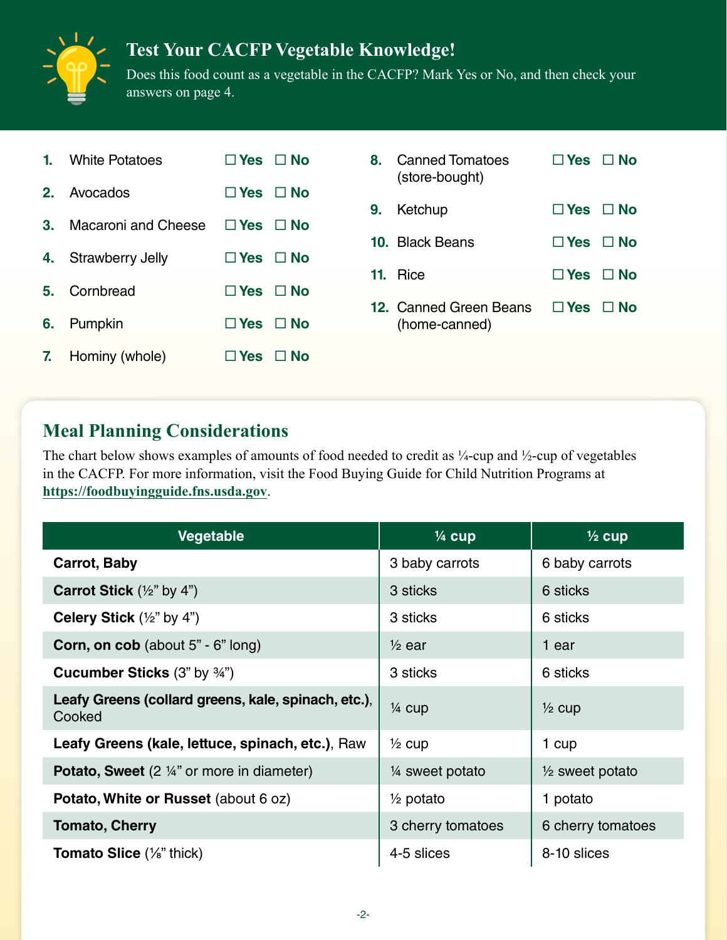# **Test Your CACFP Vegetable Knowledge!**



Does this food count as a vegetable in the CACFP? Mark Yes or No, and then check your answers on page 4.

|    | <b>1.</b> White Potatoes | $\Box$ Yes $\Box$ No       |  |
|----|--------------------------|----------------------------|--|
|    | 2. Avocados              | $\Box$ Yes $\Box$ No       |  |
| 3. | Macaroni and Cheese      | $\Box$ Yes $\Box$ No       |  |
|    | 4. Strawberry Jelly      | $\Box$ Yes $\Box$ No       |  |
| 5. | Cornbread                | $\Box$ Yes $\Box$ No       |  |
| 6. | Pumpkin                  | $\Box$ Yes $\Box$ No       |  |
|    | 7. Hominy (whole)        | $\square$ Yes $\square$ No |  |

| 8. Canned Tomatoes<br>(store-bought)    | $\square$ Yes $\square$ No |  |
|-----------------------------------------|----------------------------|--|
| 9. Ketchup                              | $\Box$ Yes $\Box$ No       |  |
| 10. Black Beans                         | $\Box$ Yes $\Box$ No       |  |
| 11. Rice                                | $\Box$ Yes $\Box$ No       |  |
| 12. Canned Green Beans<br>(home-canned) | $\Box$ Yes $\Box$ No       |  |

### **Meal Planning Considerations**

The chart below shows examples of amounts of food needed to credit as ¼-cup and ½-cup of vegetables in the CACFP. For more information, visit the Food Buying Guide for Child Nutrition Programs at **[https://foodbuyingguide.fns.usda.gov](https://foodbuyingguide.fns.usda.gov/)**.

| Vegetable                                                     | $\frac{1}{4}$ cup    | $\frac{1}{2}$ cup          |
|---------------------------------------------------------------|----------------------|----------------------------|
| <b>Carrot, Baby</b>                                           | 3 baby carrots       | 6 baby carrots             |
| <b>Carrot Stick</b> $(\frac{1}{2}$ " by 4")                   | 3 sticks             | 6 sticks                   |
| <b>Celery Stick</b> $(\frac{1}{2}$ " by 4")                   | 3 sticks             | 6 sticks                   |
| <b>Corn, on cob</b> (about 5" - 6" long)                      | $\frac{1}{2}$ ear    | 1 ear                      |
| <b>Cucumber Sticks (3" by 34")</b>                            | 3 sticks             | 6 sticks                   |
| Leafy Greens (collard greens, kale, spinach, etc.),<br>Cooked | $\frac{1}{4}$ cup    | $\frac{1}{2}$ cup          |
| Leafy Greens (kale, lettuce, spinach, etc.), Raw              | $\frac{1}{2}$ cup    | 1 cup                      |
| <b>Potato, Sweet</b> $(2 \frac{1}{4}$ " or more in diameter)  | 1/4 sweet potato     | $\frac{1}{2}$ sweet potato |
| Potato, White or Russet (about 6 oz)                          | $\frac{1}{2}$ potato | 1 potato                   |
| <b>Tomato, Cherry</b>                                         | 3 cherry tomatoes    | 6 cherry tomatoes          |
| <b>Tomato Slice</b> $(\frac{1}{8}$ " thick)                   | 4-5 slices           | 8-10 slices                |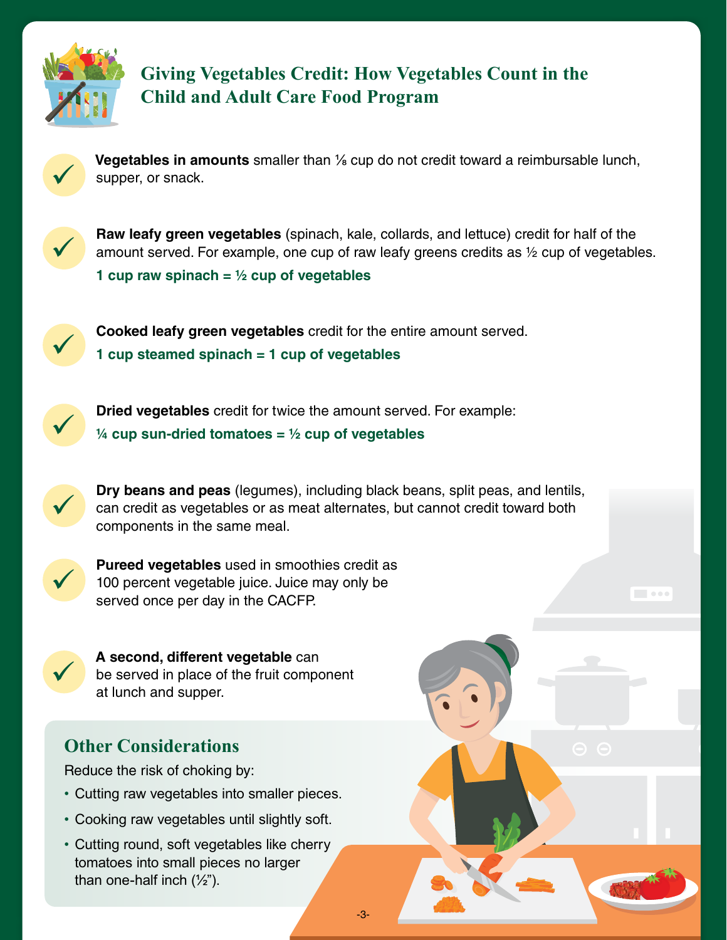

#### **Giving Vegetables Credit: How Vegetables Count in the Child and Adult Care Food Program**



**Vegetables in amounts** smaller than <sup>1</sup>/<sub>8</sub> cup do not credit toward a reimbursable lunch, supper, or snack.



**Raw leafy green vegetables** (spinach, kale, collards, and lettuce) credit for half of the amount served. For example, one cup of raw leafy greens credits as 1/2 cup of vegetables. **1 cup raw spinach = ½ cup of vegetables**

**Cooked leafy green vegetables** credit for the entire amount served. **1 cup steamed spinach = 1 cup of vegetables**



Dried vegetables credit for twice the amount served. For example: **¼ cup sun-dried tomatoes = ½ cup of vegetables**

**Dry beans and peas** (legumes), including black beans, split peas, and lentils, can credit as vegetables or as meat alternates, but cannot credit toward both components in the same meal.

-3-



**Pureed vegetables** used in smoothies credit as 100 percent vegetable juice. Juice may only be served once per day in the CACFP.



A second, different vegetable can<br>be served in place of the fruit component at lunch and supper.

### **Other Considerations**

Reduce the risk of choking by:

- Cutting raw vegetables into smaller pieces.
- Cooking raw vegetables until slightly soft.
- Cutting round, soft vegetables like cherry tomatoes into small pieces no larger than one-half inch  $(\frac{1}{2})$ .



 $\sim$  0.000  $\,$